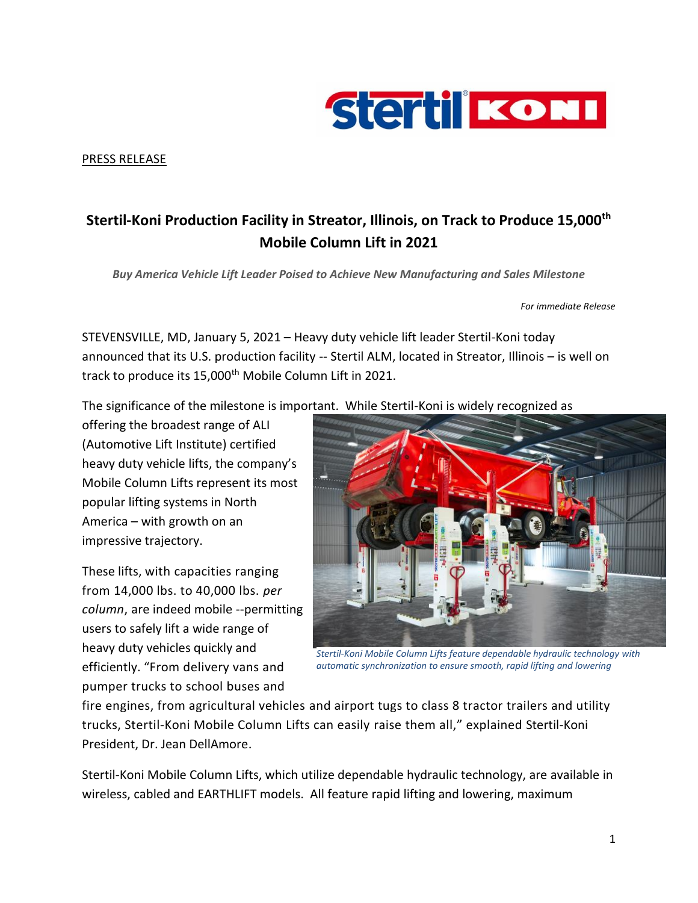

PRESS RELEASE

## **Stertil-Koni Production Facility in Streator, Illinois, on Track to Produce 15,000th Mobile Column Lift in 2021**

*Buy America Vehicle Lift Leader Poised to Achieve New Manufacturing and Sales Milestone* 

*For immediate Release*

STEVENSVILLE, MD, January 5, 2021 – Heavy duty vehicle lift leader Stertil-Koni today announced that its U.S. production facility -- Stertil ALM, located in Streator, Illinois - is well on track to produce its 15,000<sup>th</sup> Mobile Column Lift in 2021.

The significance of the milestone is important. While Stertil-Koni is widely recognized as

offering the broadest range of ALI (Automotive Lift Institute) certified heavy duty vehicle lifts, the company's Mobile Column Lifts represent its most popular lifting systems in North America – with growth on an impressive trajectory.

These lifts, with capacities ranging from 14,000 lbs. to 40,000 lbs. *per column*, are indeed mobile --permitting users to safely lift a wide range of heavy duty vehicles quickly and efficiently. "From delivery vans and pumper trucks to school buses and



*Stertil-Koni Mobile Column Lifts feature dependable hydraulic technology with automatic synchronization to ensure smooth, rapid lifting and lowering* 

fire engines, from agricultural vehicles and airport tugs to class 8 tractor trailers and utility trucks, Stertil-Koni Mobile Column Lifts can easily raise them all," explained Stertil-Koni President, Dr. Jean DellAmore.

Stertil-Koni Mobile Column Lifts, which utilize dependable hydraulic technology, are available in wireless, cabled and EARTHLIFT models. All feature rapid lifting and lowering, maximum